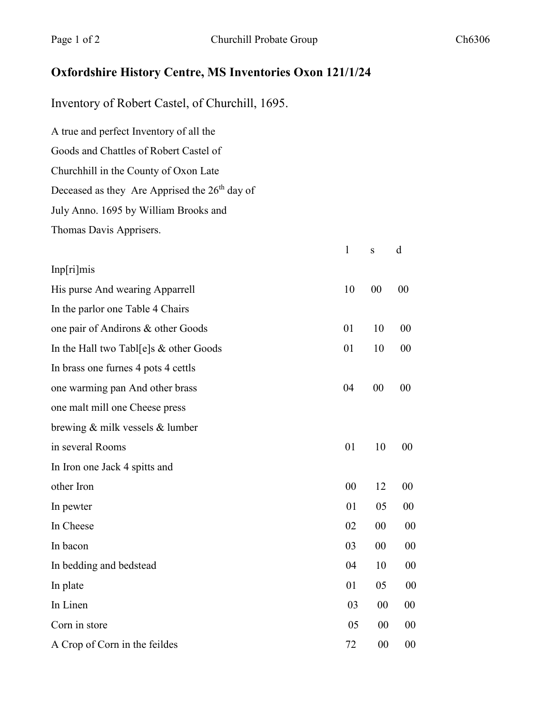## **Oxfordshire History Centre, MS Inventories Oxon 121/1/24**

Inventory of Robert Castel, of Churchill, 1695.

A true and perfect Inventory of all the Goods and Chattles of Robert Castel of Churchhill in the County of Oxon Late Deceased as they Are Apprised the 26<sup>th</sup> day of July Anno. 1695 by William Brooks and Thomas Davis Apprisers.

|                                          | $\mathbf{1}$ | S  | d      |
|------------------------------------------|--------------|----|--------|
| Inp[ri]mis                               |              |    |        |
| His purse And wearing Apparrell          | 10           | 00 | 00     |
| In the parlor one Table 4 Chairs         |              |    |        |
| one pair of Andirons & other Goods       | 01           | 10 | 00     |
| In the Hall two Tabl[e]s $&$ other Goods | 01           | 10 | 00     |
| In brass one furnes 4 pots 4 cettls      |              |    |        |
| one warming pan And other brass          | 04           | 00 | 00     |
| one malt mill one Cheese press           |              |    |        |
| brewing $&$ milk vessels $&$ lumber      |              |    |        |
| in several Rooms                         | 01           | 10 | 00     |
| In Iron one Jack 4 spitts and            |              |    |        |
| other Iron                               | 00           | 12 | 00     |
| In pewter                                | 01           | 05 | 00     |
| In Cheese                                | 02           | 00 | 00     |
| In bacon                                 | 03           | 00 | 00     |
| In bedding and bedstead                  | 04           | 10 | $00\,$ |
| In plate                                 | 01           | 05 | 00     |
| In Linen                                 | 03           | 00 | 00     |
| Corn in store                            | 05           | 00 | $00\,$ |
| A Crop of Corn in the feildes            | 72           | 00 | 00     |